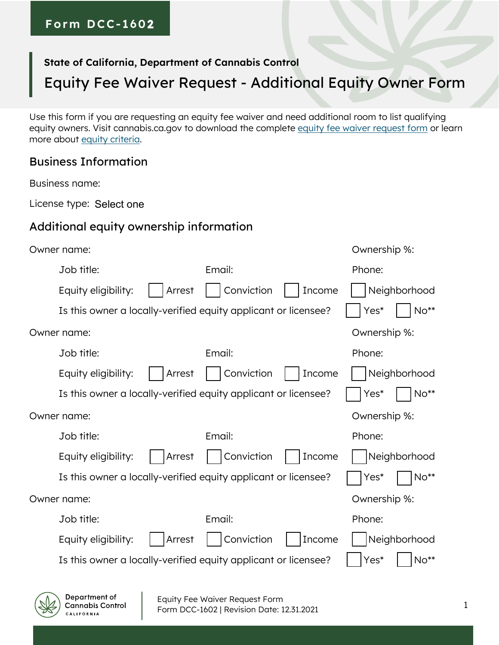### **Form DCC- 1602**

### **State of California, Department of Cannabis Control**

# Equity Fee Waiver Request - Additional Equity Owner Form

Use this form if you are requesting an equity fee waiver and need additional room to list qualifying equity owners. Visit cannabis.ca.gov to download the complete [equity fee waiver request form](https://cannabis.ca.gov/applicants/equity-fee-waivers/apply-for-an-equity-fee-waiver/) or learn more about [equity criteria.](https://cannabis.ca.gov/applicants/equity-fee-waivers/)

#### Business Information

Business name:

License type: Select one

#### Additional equity ownership information

| Owner name:                                                    |                      | Ownership %:   |
|----------------------------------------------------------------|----------------------|----------------|
| Job title:                                                     | Email:               | Phone:         |
| Arrest<br>Equity eligibility:                                  | Conviction<br>Income | Neighborhood   |
| Is this owner a locally-verified equity applicant or licensee? |                      | No**<br>Yes*   |
| Owner name:                                                    |                      | Ownership %:   |
| Job title:                                                     | Email:               | Phone:         |
| Equity eligibility:<br>Arrest                                  | Conviction<br>Income | Neighborhood   |
| Is this owner a locally-verified equity applicant or licensee? |                      | $No**$<br>Yes* |
| Owner name:                                                    |                      | Ownership %:   |
| Job title:                                                     | Email:               | Phone:         |
| Equity eligibility:<br>Arrest                                  | Conviction<br>Income | Neighborhood   |
| Is this owner a locally-verified equity applicant or licensee? |                      | $No**$<br>Yes* |
| Owner name:                                                    |                      | Ownership %:   |
| Job title:                                                     | Email:               | Phone:         |
| Equity eligibility:<br>Arrest                                  | Conviction<br>Income | Neighborhood   |
| Is this owner a locally-verified equity applicant or licensee? |                      | No**<br>Yes*   |
|                                                                |                      |                |

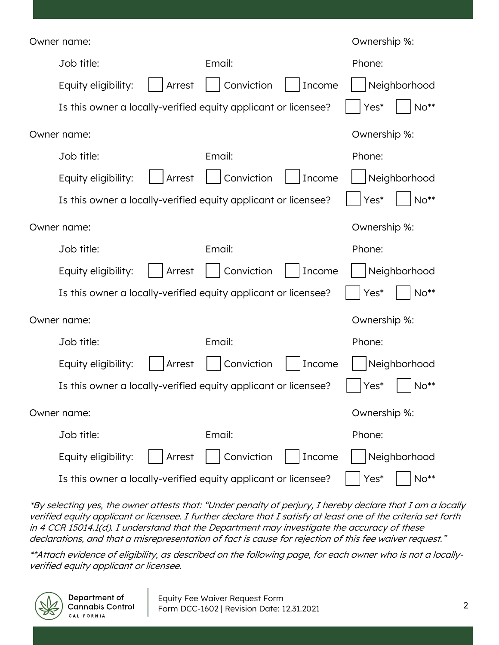| Owner name:                                                    | Ownership %:         |                |
|----------------------------------------------------------------|----------------------|----------------|
| Job title:                                                     | Email:               | Phone:         |
| Equity eligibility:<br>Arrest                                  | Conviction<br>Income | Neighborhood   |
| Is this owner a locally-verified equity applicant or licensee? |                      | $No**$<br>Yes* |
| Owner name:                                                    |                      | Ownership %:   |
| Job title:                                                     | Email:               | Phone:         |
| Equity eligibility:<br>Arrest                                  | Conviction<br>Income | Neighborhood   |
| Is this owner a locally-verified equity applicant or licensee? |                      | Yes*<br>$No**$ |
| Owner name:                                                    |                      | Ownership %:   |
| Job title:                                                     | Email:               | Phone:         |
| Equity eligibility:<br>Arrest                                  | Conviction<br>Income | Neighborhood   |
| Is this owner a locally-verified equity applicant or licensee? |                      | $No**$<br>Yes* |
| Owner name:                                                    |                      | Ownership %:   |
| Job title:                                                     | Email:               | Phone:         |
| Equity eligibility:<br>Arrest                                  | Conviction<br>Income | Neighborhood   |
| Is this owner a locally-verified equity applicant or licensee? |                      | Yes*<br>$No**$ |
| Owner name:                                                    | Ownership %:         |                |
| Job title:                                                     | Email:               | Phone:         |
| Equity eligibility:<br>Arrest                                  | Conviction<br>Income | Neighborhood   |
| Is this owner a locally-verified equity applicant or licensee? |                      | $No**$<br>Yes* |

\*By selecting yes, the owner attests that: "Under penalty of perjury, I hereby declare that I am a locally verified equity applicant or licensee. I further declare that I satisfy at least one of the criteria set forth in 4 CCR 15014.1(d). I understand that the Department may investigate the accuracy of these declarations, and that a misrepresentation of fact is cause for rejection of this fee waiver request."

\*\*Attach evidence of eligibility, as described on the following page, for each owner who is not a locallyverified equity applicant or licensee.